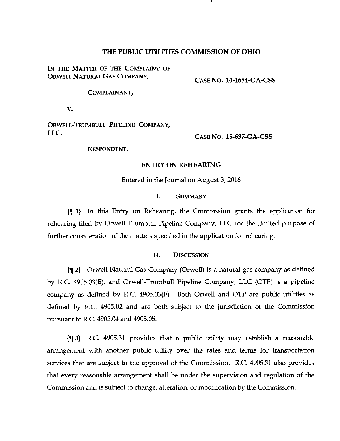## THE PUBLIC UTILITIES COMMISSION OF OHIO

IN THE MATTER OF THE COMPLAINT OF ORWELL NATURAL GAS COMPANY,

CASE No. 14-1654-GA-CSS

COMPLAINANT,

V.

ORWELL-TRUMBULL PIPELINE COMPANY, LLC,

CASE No. 15-637-GA-CSS

RESPONDENT.

#### ENTRY ON REHEARING

Entered in the Journal on August 3,2016

## I. SUMMARY

{^1| In this Entry on Rehearing, the Comnussion grants the application for rehearing filed by Orwell-Trumbull Pipeline Company, LLC for the limited purpose of further consideration of the matters specified in the application for rehearing.

#### II. DISCUSSION

{^ 2) Orwell Natural Gas Company (Orwell) is a natural gas company as defined by R.C. 4905.03(E), and Orwell-Trumbull Pipeline Company, LLC (OTP) is a pipeline company as defined by R.C. 4905.03(F). Both Orwell and OTP are public utilities as defined by R.C. 4905.02 and are both subject to the jurisdiction of the Commission pursuant to R.C. 4905.04 and 4905.05.

 $\{\P\}$  3} R.C. 4905.31 provides that a public utility may establish a reasonable arrangement with another public utility over the rates and terms for transportation services that are subject to the approval of the Commission. R.C. 4905.31 also provides that every reasonable arrangement shall be under the supervision and regulation of the Commission and is subject to change, alteration, or modification by the Commission.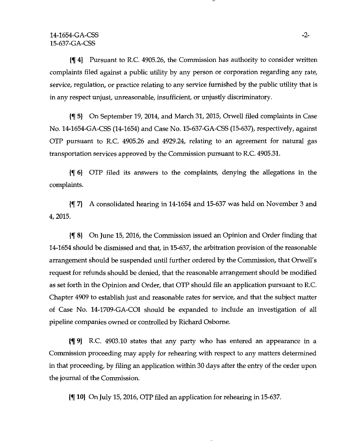{f 4) Pursuant to R.C. 4905.26, the Commission has authority to consider written complaints filed against a public utility by any person or corporation regarding any rate, service, regulation, or practice relating to any service furnished by the public utility that is in any respect unjust, unreasonable, insufficient, or unjustly discriminatory.

{f 5} On September 19, 2014, and March 31, 2015, Orwell filed complaints in Case No. 14-1654-GA-CSS (14-1654) and Case No. 15-637-GA-CSS (15-637), respectively, against OTP pursuant to R.C. 4905.26 and 4929.24^ relating to an agreement for natural gas transportation services approved by the Commission pursuant to R.C 4905.31.

{f 6) OTP filed its answers to the complaints, denying the allegations in the complaints.

{f 7} A consolidated hearing in 14-1654 and 15-637 was held on November 3 and 4, 2015.

{% 8) On June 15, 2016, the Commission issued an Opinion and Order finding that 14-1654 should be dismissed and that, in 15-637, the arbitration provision of the reasonable arrangement should be suspended until further ordered by the Commission, that Orwell's request for refunds should be denied, that the reasonable arrangement should be modified as set forth in the Opinion and Order, that OTP should file an application pursuant to R.C. Chapter 4909 to establish just and reasonable rates for service, and that the subject matter of Case No. 14-1709-GA-COI should be expanded to include an investigation of all pipeline companies owned or controlled by Richard Osborne.

{f 9) R.C. 4903.10 states that any party who has entered an appearance in a Commission proceeding may apply for rehearing with respect to any matters determined in that proceeding, by filing an application within 30 days after the entry of the order upon the journal of the Commission.

{f 10) On July 15,2016, OTP filed an application for rehearing in 15-637.